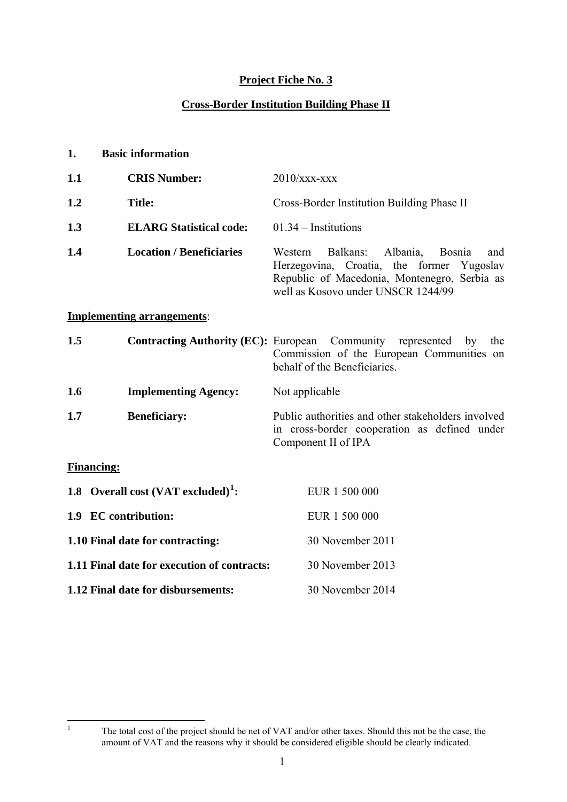# **Project Fiche No. 3**

# **Cross-Border Institution Building Phase II**

| 1.  | <b>Basic information</b>                       |                                                                                                                                                                                            |  |  |  |
|-----|------------------------------------------------|--------------------------------------------------------------------------------------------------------------------------------------------------------------------------------------------|--|--|--|
| 1.1 | <b>CRIS Number:</b>                            | $2010/xxx$ - $xxx$                                                                                                                                                                         |  |  |  |
| 1.2 | <b>Title:</b>                                  | Cross-Border Institution Building Phase II                                                                                                                                                 |  |  |  |
| 1.3 | <b>ELARG Statistical code:</b>                 | $01.34$ – Institutions                                                                                                                                                                     |  |  |  |
| 1.4 | <b>Location / Beneficiaries</b>                | Balkans:<br>Albania,<br>Western<br><b>Bosnia</b><br>and<br>Herzegovina, Croatia, the former Yugoslav<br>Republic of Macedonia, Montenegro, Serbia as<br>well as Kosovo under UNSCR 1244/99 |  |  |  |
|     | <b>Implementing arrangements:</b>              |                                                                                                                                                                                            |  |  |  |
| 1.5 | <b>Contracting Authority (EC):</b> European    | Community represented by<br>the<br>Commission of the European Communities on<br>behalf of the Beneficiaries.                                                                               |  |  |  |
| 1.6 | <b>Implementing Agency:</b>                    | Not applicable                                                                                                                                                                             |  |  |  |
| 1.7 | <b>Beneficiary:</b>                            | Public authorities and other stakeholders involved<br>in cross-border cooperation as defined under<br>Component II of IPA                                                                  |  |  |  |
|     | <b>Financing:</b>                              |                                                                                                                                                                                            |  |  |  |
|     | 1.8 Overall cost (VAT excluded) <sup>1</sup> : | EUR 1 500 000                                                                                                                                                                              |  |  |  |
|     | 1.9 EC contribution:                           | EUR 1 500 000                                                                                                                                                                              |  |  |  |
|     | 1.10 Final date for contracting:               | 30 November 2011                                                                                                                                                                           |  |  |  |
|     | 1.11 Final date for execution of contracts:    | 30 November 2013                                                                                                                                                                           |  |  |  |
|     | 1.12 Final date for disbursements:             | 30 November 2014                                                                                                                                                                           |  |  |  |

<span id="page-0-0"></span> $\frac{1}{1}$ 

The total cost of the project should be net of VAT and/or other taxes. Should this not be the case, the amount of VAT and the reasons why it should be considered eligible should be clearly indicated.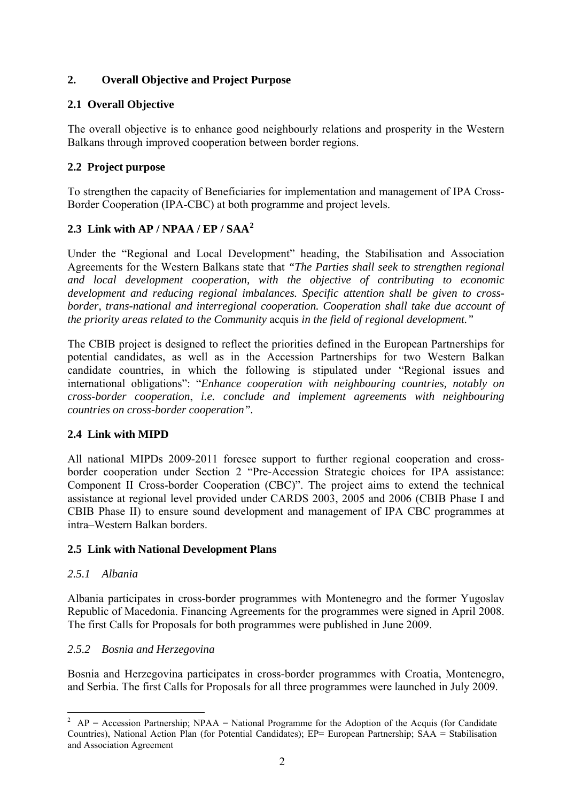# **2. Overall Objective and Project Purpose**

# **2.1 Overall Objective**

The overall objective is to enhance good neighbourly relations and prosperity in the Western Balkans through improved cooperation between border regions.

# **2.2 Project purpose**

To strengthen the capacity of Beneficiaries for implementation and management of IPA Cross-Border Cooperation (IPA-CBC) at both programme and project levels.

# **2.3 Link with AP / NPAA / EP / SAA[2](#page-1-0)**

Under the "Regional and Local Development" heading, the Stabilisation and Association Agreements for the Western Balkans state that *"The Parties shall seek to strengthen regional and local development cooperation, with the objective of contributing to economic development and reducing regional imbalances. Specific attention shall be given to crossborder, trans-national and interregional cooperation. Cooperation shall take due account of the priority areas related to the Community* acquis *in the field of regional development."* 

The CBIB project is designed to reflect the priorities defined in the European Partnerships for potential candidates, as well as in the Accession Partnerships for two Western Balkan candidate countries, in which the following is stipulated under "Regional issues and international obligations": "*Enhance cooperation with neighbouring countries, notably on cross-border cooperation*, *i.e. conclude and implement agreements with neighbouring countries on cross-border cooperation".* 

# **2.4 Link with MIPD**

All national MIPDs 2009-2011 foresee support to further regional cooperation and crossborder cooperation under Section 2 "Pre-Accession Strategic choices for IPA assistance: Component II Cross-border Cooperation (CBC)". The project aims to extend the technical assistance at regional level provided under CARDS 2003, 2005 and 2006 (CBIB Phase I and CBIB Phase II) to ensure sound development and management of IPA CBC programmes at intra–Western Balkan borders.

# **2.5 Link with National Development Plans**

## *2.5.1 Albania*

Albania participates in cross-border programmes with Montenegro and the former Yugoslav Republic of Macedonia. Financing Agreements for the programmes were signed in April 2008. The first Calls for Proposals for both programmes were published in June 2009.

# *2.5.2 Bosnia and Herzegovina*

Bosnia and Herzegovina participates in cross-border programmes with Croatia, Montenegro, and Serbia. The first Calls for Proposals for all three programmes were launched in July 2009.

<span id="page-1-0"></span><sup>1</sup> <sup>2</sup> AP = Accession Partnership; NPAA = National Programme for the Adoption of the Acquis (for Candidate Countries), National Action Plan (for Potential Candidates); EP= European Partnership; SAA = Stabilisation and Association Agreement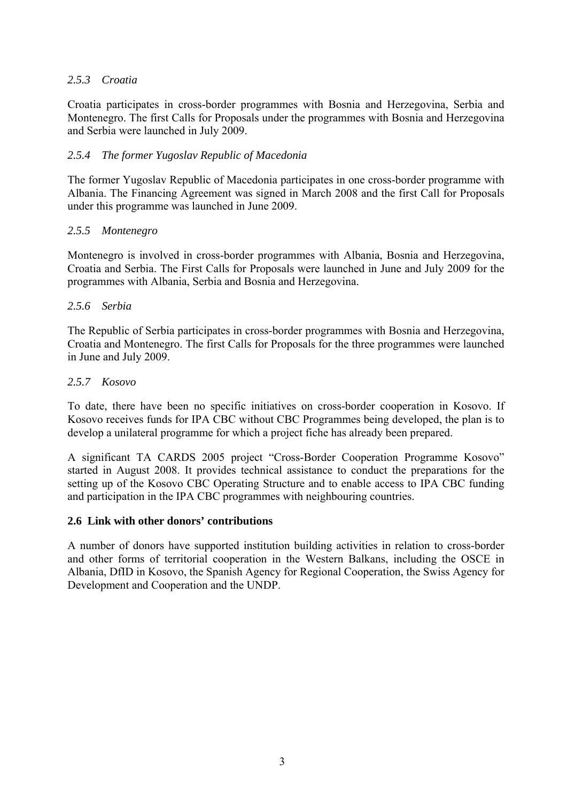## *2.5.3 Croatia*

Croatia participates in cross-border programmes with Bosnia and Herzegovina, Serbia and Montenegro. The first Calls for Proposals under the programmes with Bosnia and Herzegovina and Serbia were launched in July 2009.

#### *2.5.4 The former Yugoslav Republic of Macedonia*

The former Yugoslav Republic of Macedonia participates in one cross-border programme with Albania. The Financing Agreement was signed in March 2008 and the first Call for Proposals under this programme was launched in June 2009.

#### *2.5.5 Montenegro*

Montenegro is involved in cross-border programmes with Albania, Bosnia and Herzegovina, Croatia and Serbia. The First Calls for Proposals were launched in June and July 2009 for the programmes with Albania, Serbia and Bosnia and Herzegovina.

#### *2.5.6 Serbia*

The Republic of Serbia participates in cross-border programmes with Bosnia and Herzegovina, Croatia and Montenegro. The first Calls for Proposals for the three programmes were launched in June and July 2009.

#### *2.5.7 Kosovo*

To date, there have been no specific initiatives on cross-border cooperation in Kosovo. If Kosovo receives funds for IPA CBC without CBC Programmes being developed, the plan is to develop a unilateral programme for which a project fiche has already been prepared.

A significant TA CARDS 2005 project "Cross-Border Cooperation Programme Kosovo" started in August 2008. It provides technical assistance to conduct the preparations for the setting up of the Kosovo CBC Operating Structure and to enable access to IPA CBC funding and participation in the IPA CBC programmes with neighbouring countries.

#### **2.6 Link with other donors' contributions**

A number of donors have supported institution building activities in relation to cross-border and other forms of territorial cooperation in the Western Balkans, including the OSCE in Albania, DfID in Kosovo, the Spanish Agency for Regional Cooperation, the Swiss Agency for Development and Cooperation and the UNDP.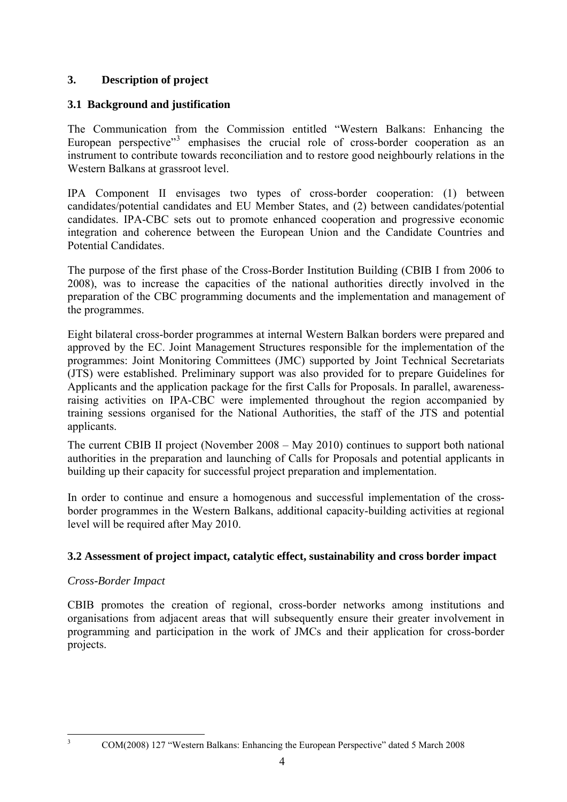## **3. Description of project**

## **3.1 Background and justification**

The Communication from the Commission entitled "Western Balkans: Enhancing the European perspective"<sup>[3](#page-3-0)</sup> emphasises the crucial role of cross-border cooperation as an instrument to contribute towards reconciliation and to restore good neighbourly relations in the Western Balkans at grassroot level.

IPA Component II envisages two types of cross-border cooperation: (1) between candidates/potential candidates and EU Member States, and (2) between candidates/potential candidates. IPA-CBC sets out to promote enhanced cooperation and progressive economic integration and coherence between the European Union and the Candidate Countries and Potential Candidates.

The purpose of the first phase of the Cross-Border Institution Building (CBIB I from 2006 to 2008), was to increase the capacities of the national authorities directly involved in the preparation of the CBC programming documents and the implementation and management of the programmes.

Eight bilateral cross-border programmes at internal Western Balkan borders were prepared and approved by the EC. Joint Management Structures responsible for the implementation of the programmes: Joint Monitoring Committees (JMC) supported by Joint Technical Secretariats (JTS) were established. Preliminary support was also provided for to prepare Guidelines for Applicants and the application package for the first Calls for Proposals. In parallel, awarenessraising activities on IPA-CBC were implemented throughout the region accompanied by training sessions organised for the National Authorities, the staff of the JTS and potential applicants.

The current CBIB II project (November 2008 – May 2010) continues to support both national authorities in the preparation and launching of Calls for Proposals and potential applicants in building up their capacity for successful project preparation and implementation.

In order to continue and ensure a homogenous and successful implementation of the crossborder programmes in the Western Balkans, additional capacity-building activities at regional level will be required after May 2010.

## **3.2 Assessment of project impact, catalytic effect, sustainability and cross border impact**

## *Cross-Border Impact*

CBIB promotes the creation of regional, cross-border networks among institutions and organisations from adjacent areas that will subsequently ensure their greater involvement in programming and participation in the work of JMCs and their application for cross-border projects.

<span id="page-3-0"></span> $\frac{1}{3}$ 

COM(2008) 127 "Western Balkans: Enhancing the European Perspective" dated 5 March 2008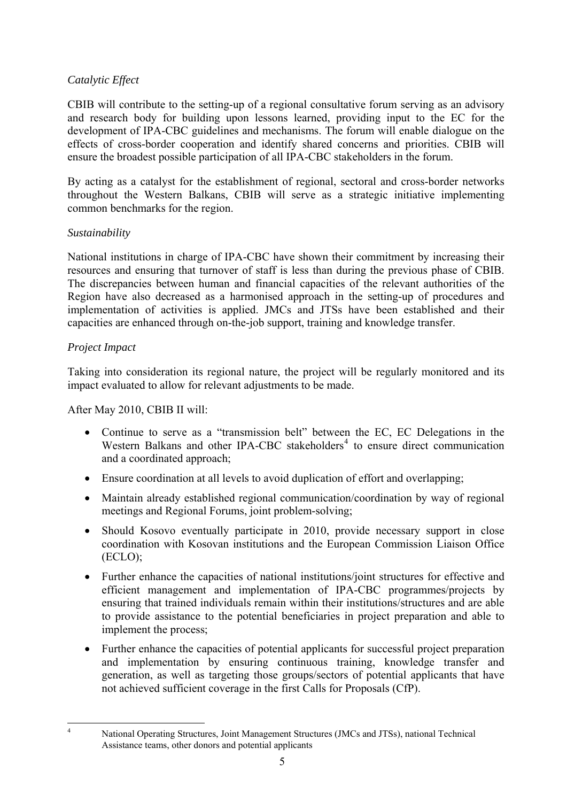## *Catalytic Effect*

CBIB will contribute to the setting-up of a regional consultative forum serving as an advisory and research body for building upon lessons learned, providing input to the EC for the development of IPA-CBC guidelines and mechanisms. The forum will enable dialogue on the effects of cross-border cooperation and identify shared concerns and priorities. CBIB will ensure the broadest possible participation of all IPA-CBC stakeholders in the forum.

By acting as a catalyst for the establishment of regional, sectoral and cross-border networks throughout the Western Balkans, CBIB will serve as a strategic initiative implementing common benchmarks for the region.

## *Sustainability*

National institutions in charge of IPA-CBC have shown their commitment by increasing their resources and ensuring that turnover of staff is less than during the previous phase of CBIB. The discrepancies between human and financial capacities of the relevant authorities of the Region have also decreased as a harmonised approach in the setting-up of procedures and implementation of activities is applied. JMCs and JTSs have been established and their capacities are enhanced through on-the-job support, training and knowledge transfer.

## *Project Impact*

<span id="page-4-0"></span> $\frac{1}{4}$ 

Taking into consideration its regional nature, the project will be regularly monitored and its impact evaluated to allow for relevant adjustments to be made.

## After May 2010, CBIB II will:

- Continue to serve as a "transmission belt" between the EC, EC Delegations in the Western Balkans and other IPA-CBC stakeholders<sup>[4](#page-4-0)</sup> to ensure direct communication and a coordinated approach;
- Ensure coordination at all levels to avoid duplication of effort and overlapping;
- Maintain already established regional communication/coordination by way of regional meetings and Regional Forums, joint problem-solving;
- Should Kosovo eventually participate in 2010, provide necessary support in close coordination with Kosovan institutions and the European Commission Liaison Office (ECLO);
- Further enhance the capacities of national institutions/joint structures for effective and efficient management and implementation of IPA-CBC programmes/projects by ensuring that trained individuals remain within their institutions/structures and are able to provide assistance to the potential beneficiaries in project preparation and able to implement the process;
- Further enhance the capacities of potential applicants for successful project preparation and implementation by ensuring continuous training, knowledge transfer and generation, as well as targeting those groups/sectors of potential applicants that have not achieved sufficient coverage in the first Calls for Proposals (CfP).

National Operating Structures, Joint Management Structures (JMCs and JTSs), national Technical Assistance teams, other donors and potential applicants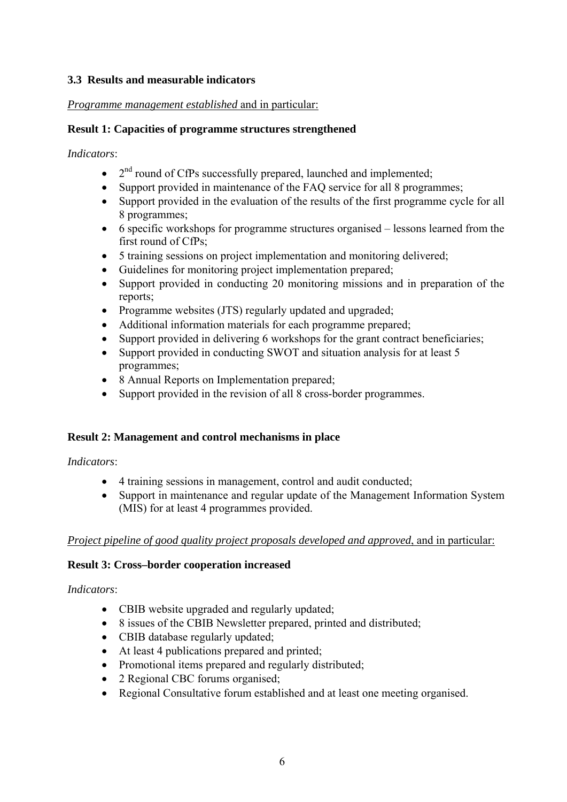## **3.3 Results and measurable indicators**

#### *Programme management established* and in particular:

#### **Result 1: Capacities of programme structures strengthened**

*Indicators*:

- $2<sup>nd</sup>$  round of CfPs successfully prepared, launched and implemented;
- Support provided in maintenance of the FAQ service for all 8 programmes;
- Support provided in the evaluation of the results of the first programme cycle for all 8 programmes;
- 6 specific workshops for programme structures organised lessons learned from the first round of CfPs;
- 5 training sessions on project implementation and monitoring delivered;
- Guidelines for monitoring project implementation prepared;
- Support provided in conducting 20 monitoring missions and in preparation of the reports;
- Programme websites (JTS) regularly updated and upgraded;
- Additional information materials for each programme prepared;
- Support provided in delivering 6 workshops for the grant contract beneficiaries;
- Support provided in conducting SWOT and situation analysis for at least 5 programmes;
- 8 Annual Reports on Implementation prepared;
- Support provided in the revision of all 8 cross-border programmes.

## **Result 2: Management and control mechanisms in place**

#### *Indicators*:

- 4 training sessions in management, control and audit conducted;
- Support in maintenance and regular update of the Management Information System (MIS) for at least 4 programmes provided.

## *Project pipeline of good quality project proposals developed and approved*, and in particular:

## **Result 3: Cross–border cooperation increased**

## *Indicators*:

- CBIB website upgraded and regularly updated;
- 8 issues of the CBIB Newsletter prepared, printed and distributed;
- CBIB database regularly updated;
- At least 4 publications prepared and printed;
- Promotional items prepared and regularly distributed;
- 2 Regional CBC forums organised;
- Regional Consultative forum established and at least one meeting organised.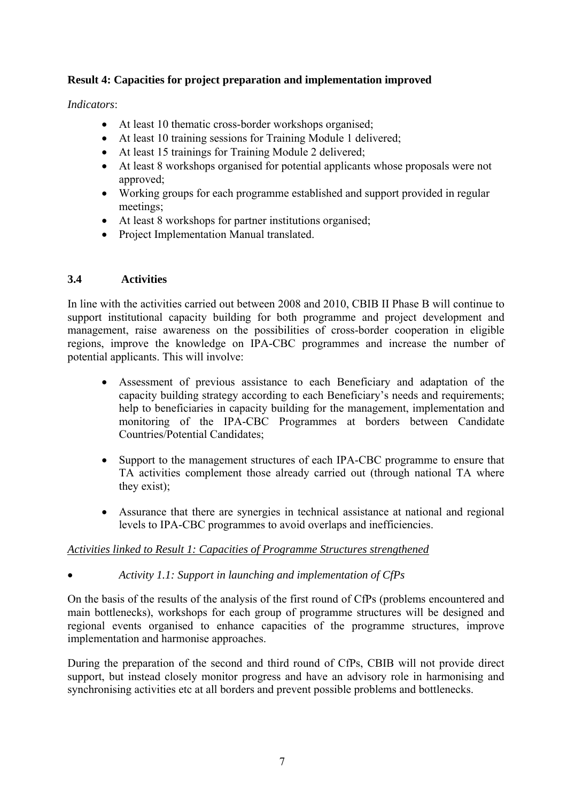## **Result 4: Capacities for project preparation and implementation improved**

## *Indicators*:

- At least 10 thematic cross-border workshops organised:
- At least 10 training sessions for Training Module 1 delivered;
- At least 15 trainings for Training Module 2 delivered;
- At least 8 workshops organised for potential applicants whose proposals were not approved;
- Working groups for each programme established and support provided in regular meetings;
- At least 8 workshops for partner institutions organised;
- Project Implementation Manual translated.

## **3.4 Activities**

In line with the activities carried out between 2008 and 2010, CBIB II Phase B will continue to support institutional capacity building for both programme and project development and management, raise awareness on the possibilities of cross-border cooperation in eligible regions, improve the knowledge on IPA-CBC programmes and increase the number of potential applicants. This will involve:

- Assessment of previous assistance to each Beneficiary and adaptation of the capacity building strategy according to each Beneficiary's needs and requirements; help to beneficiaries in capacity building for the management, implementation and monitoring of the IPA-CBC Programmes at borders between Candidate Countries/Potential Candidates;
- Support to the management structures of each IPA-CBC programme to ensure that TA activities complement those already carried out (through national TA where they exist);
- Assurance that there are synergies in technical assistance at national and regional levels to IPA-CBC programmes to avoid overlaps and inefficiencies.

# *Activities linked to Result 1: Capacities of Programme Structures strengthened*

• *Activity 1.1: Support in launching and implementation of CfPs* 

On the basis of the results of the analysis of the first round of CfPs (problems encountered and main bottlenecks), workshops for each group of programme structures will be designed and regional events organised to enhance capacities of the programme structures, improve implementation and harmonise approaches.

During the preparation of the second and third round of CfPs, CBIB will not provide direct support, but instead closely monitor progress and have an advisory role in harmonising and synchronising activities etc at all borders and prevent possible problems and bottlenecks.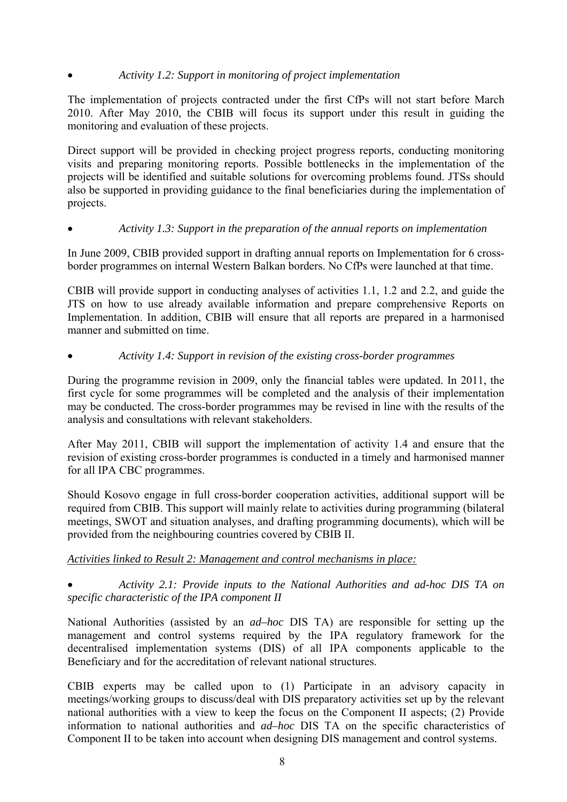# • *Activity 1.2: Support in monitoring of project implementation*

The implementation of projects contracted under the first CfPs will not start before March 2010. After May 2010, the CBIB will focus its support under this result in guiding the monitoring and evaluation of these projects.

Direct support will be provided in checking project progress reports, conducting monitoring visits and preparing monitoring reports. Possible bottlenecks in the implementation of the projects will be identified and suitable solutions for overcoming problems found. JTSs should also be supported in providing guidance to the final beneficiaries during the implementation of projects.

## • *Activity 1.3: Support in the preparation of the annual reports on implementation*

In June 2009, CBIB provided support in drafting annual reports on Implementation for 6 crossborder programmes on internal Western Balkan borders. No CfPs were launched at that time.

CBIB will provide support in conducting analyses of activities 1.1, 1.2 and 2.2, and guide the JTS on how to use already available information and prepare comprehensive Reports on Implementation. In addition, CBIB will ensure that all reports are prepared in a harmonised manner and submitted on time.

#### • *Activity 1.4: Support in revision of the existing cross-border programmes*

During the programme revision in 2009, only the financial tables were updated. In 2011, the first cycle for some programmes will be completed and the analysis of their implementation may be conducted. The cross-border programmes may be revised in line with the results of the analysis and consultations with relevant stakeholders.

After May 2011, CBIB will support the implementation of activity 1.4 and ensure that the revision of existing cross-border programmes is conducted in a timely and harmonised manner for all IPA CBC programmes.

Should Kosovo engage in full cross-border cooperation activities, additional support will be required from CBIB. This support will mainly relate to activities during programming (bilateral meetings, SWOT and situation analyses, and drafting programming documents), which will be provided from the neighbouring countries covered by CBIB II.

## *Activities linked to Result 2: Management and control mechanisms in place:*

• *Activity 2.1: Provide inputs to the National Authorities and ad-hoc DIS TA on specific characteristic of the IPA component II* 

National Authorities (assisted by an *ad–hoc* DIS TA) are responsible for setting up the management and control systems required by the IPA regulatory framework for the decentralised implementation systems (DIS) of all IPA components applicable to the Beneficiary and for the accreditation of relevant national structures.

CBIB experts may be called upon to (1) Participate in an advisory capacity in meetings/working groups to discuss/deal with DIS preparatory activities set up by the relevant national authorities with a view to keep the focus on the Component II aspects; (2) Provide information to national authorities and *ad–hoc* DIS TA on the specific characteristics of Component II to be taken into account when designing DIS management and control systems.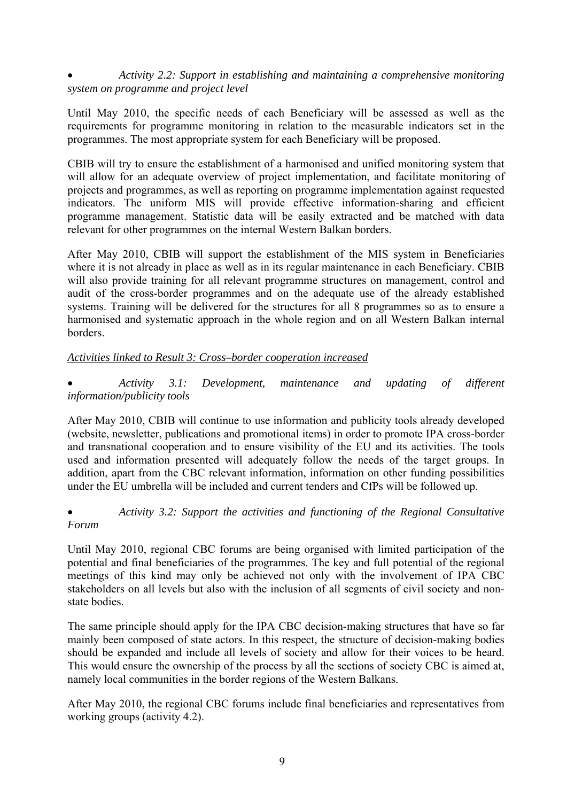• *Activity 2.2: Support in establishing and maintaining a comprehensive monitoring system on programme and project level* 

Until May 2010, the specific needs of each Beneficiary will be assessed as well as the requirements for programme monitoring in relation to the measurable indicators set in the programmes. The most appropriate system for each Beneficiary will be proposed.

CBIB will try to ensure the establishment of a harmonised and unified monitoring system that will allow for an adequate overview of project implementation, and facilitate monitoring of projects and programmes, as well as reporting on programme implementation against requested indicators. The uniform MIS will provide effective information-sharing and efficient programme management. Statistic data will be easily extracted and be matched with data relevant for other programmes on the internal Western Balkan borders.

After May 2010, CBIB will support the establishment of the MIS system in Beneficiaries where it is not already in place as well as in its regular maintenance in each Beneficiary. CBIB will also provide training for all relevant programme structures on management, control and audit of the cross-border programmes and on the adequate use of the already established systems. Training will be delivered for the structures for all 8 programmes so as to ensure a harmonised and systematic approach in the whole region and on all Western Balkan internal borders.

#### *Activities linked to Result 3: Cross–border cooperation increased*

• *Activity 3.1: Development, maintenance and updating of different information/publicity tools* 

After May 2010, CBIB will continue to use information and publicity tools already developed (website, newsletter, publications and promotional items) in order to promote IPA cross-border and transnational cooperation and to ensure visibility of the EU and its activities. The tools used and information presented will adequately follow the needs of the target groups. In addition, apart from the CBC relevant information, information on other funding possibilities under the EU umbrella will be included and current tenders and CfPs will be followed up.

## • *Activity 3.2: Support the activities and functioning of the Regional Consultative Forum*

Until May 2010, regional CBC forums are being organised with limited participation of the potential and final beneficiaries of the programmes. The key and full potential of the regional meetings of this kind may only be achieved not only with the involvement of IPA CBC stakeholders on all levels but also with the inclusion of all segments of civil society and nonstate bodies.

The same principle should apply for the IPA CBC decision-making structures that have so far mainly been composed of state actors. In this respect, the structure of decision-making bodies should be expanded and include all levels of society and allow for their voices to be heard. This would ensure the ownership of the process by all the sections of society CBC is aimed at, namely local communities in the border regions of the Western Balkans.

After May 2010, the regional CBC forums include final beneficiaries and representatives from working groups (activity 4.2).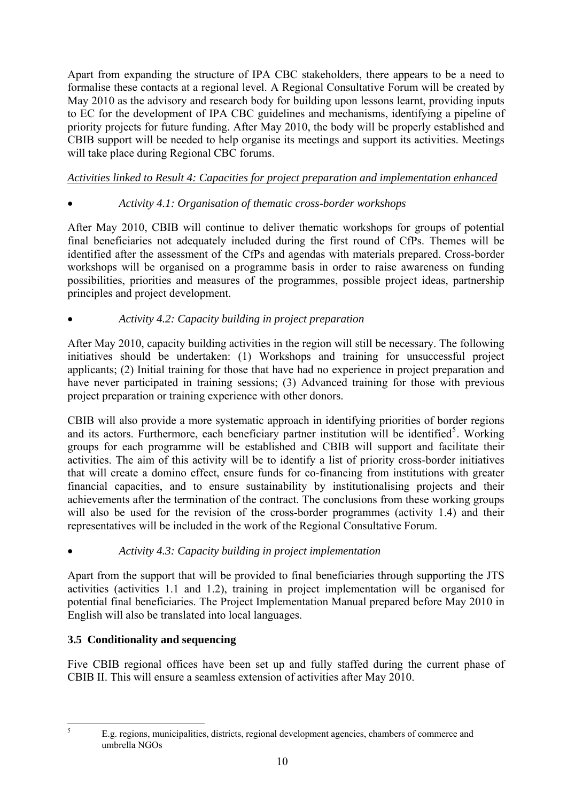<span id="page-9-0"></span>Apart from expanding the structure of IPA CBC stakeholders, there appears to be a need to formalise these contacts at a regional level. A Regional Consultative Forum will be created by May 2010 as the advisory and research body for building upon lessons learnt, providing inputs to EC for the development of IPA CBC guidelines and mechanisms, identifying a pipeline of priority projects for future funding. After May 2010, the body will be properly established and CBIB support will be needed to help organise its meetings and support its activities. Meetings will take place during Regional CBC forums.

# *Activities linked to Result 4: Capacities for project preparation and implementation enhanced*

# • *Activity 4.1: Organisation of thematic cross-border workshops*

After May 2010, CBIB will continue to deliver thematic workshops for groups of potential final beneficiaries not adequately included during the first round of CfPs. Themes will be identified after the assessment of the CfPs and agendas with materials prepared. Cross-border workshops will be organised on a programme basis in order to raise awareness on funding possibilities, priorities and measures of the programmes, possible project ideas, partnership principles and project development.

# • *Activity 4.2: Capacity building in project preparation*

After May 2010, capacity building activities in the region will still be necessary. The following initiatives should be undertaken: (1) Workshops and training for unsuccessful project applicants; (2) Initial training for those that have had no experience in project preparation and have never participated in training sessions; (3) Advanced training for those with previous project preparation or training experience with other donors.

CBIB will also provide a more systematic approach in identifying priorities of border regions and its actors. Furthermore, each beneficiary partner institution will be identified<sup>[5](#page-9-0)</sup>. Working groups for each programme will be established and CBIB will support and facilitate their activities. The aim of this activity will be to identify a list of priority cross-border initiatives that will create a domino effect, ensure funds for co-financing from institutions with greater financial capacities, and to ensure sustainability by institutionalising projects and their achievements after the termination of the contract. The conclusions from these working groups will also be used for the revision of the cross-border programmes (activity 1.4) and their representatives will be included in the work of the Regional Consultative Forum.

# • *Activity 4.3: Capacity building in project implementation*

Apart from the support that will be provided to final beneficiaries through supporting the JTS activities (activities 1.1 and 1.2), training in project implementation will be organised for potential final beneficiaries. The Project Implementation Manual prepared before May 2010 in English will also be translated into local languages.

# **3.5 Conditionality and sequencing**

Five CBIB regional offices have been set up and fully staffed during the current phase of CBIB II. This will ensure a seamless extension of activities after May 2010.

 $\frac{1}{5}$ 

E.g. regions, municipalities, districts, regional development agencies, chambers of commerce and umbrella NGOs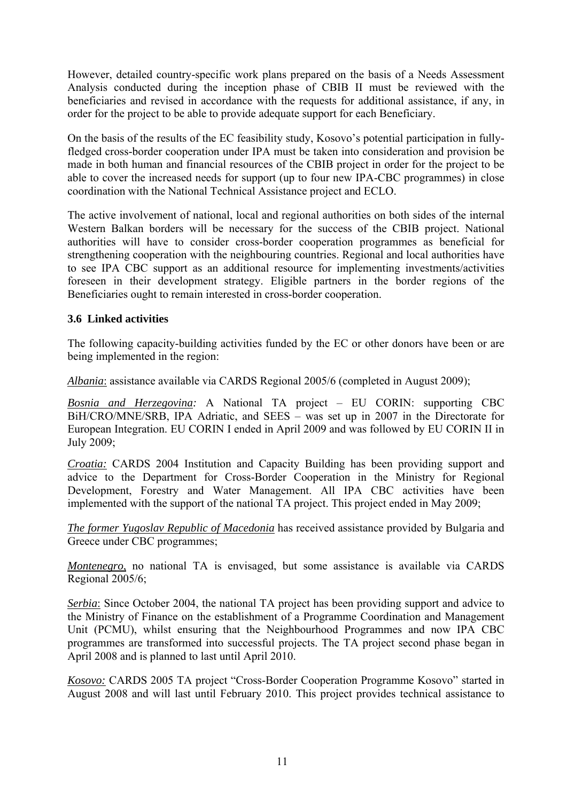However, detailed country-specific work plans prepared on the basis of a Needs Assessment Analysis conducted during the inception phase of CBIB II must be reviewed with the beneficiaries and revised in accordance with the requests for additional assistance, if any, in order for the project to be able to provide adequate support for each Beneficiary.

On the basis of the results of the EC feasibility study, Kosovo's potential participation in fullyfledged cross-border cooperation under IPA must be taken into consideration and provision be made in both human and financial resources of the CBIB project in order for the project to be able to cover the increased needs for support (up to four new IPA-CBC programmes) in close coordination with the National Technical Assistance project and ECLO.

The active involvement of national, local and regional authorities on both sides of the internal Western Balkan borders will be necessary for the success of the CBIB project. National authorities will have to consider cross-border cooperation programmes as beneficial for strengthening cooperation with the neighbouring countries. Regional and local authorities have to see IPA CBC support as an additional resource for implementing investments/activities foreseen in their development strategy. Eligible partners in the border regions of the Beneficiaries ought to remain interested in cross-border cooperation.

## **3.6 Linked activities**

The following capacity-building activities funded by the EC or other donors have been or are being implemented in the region:

*Albania*: assistance available via CARDS Regional 2005/6 (completed in August 2009);

*Bosnia and Herzegovina:* A National TA project – EU CORIN: supporting CBC BiH/CRO/MNE/SRB, IPA Adriatic, and SEES – was set up in 2007 in the Directorate for European Integration. EU CORIN I ended in April 2009 and was followed by EU CORIN II in July 2009;

*Croatia:* CARDS 2004 Institution and Capacity Building has been providing support and advice to the Department for Cross-Border Cooperation in the Ministry for Regional Development, Forestry and Water Management. All IPA CBC activities have been implemented with the support of the national TA project. This project ended in May 2009;

*The former Yugoslav Republic of Macedonia* has received assistance provided by Bulgaria and Greece under CBC programmes;

*Montenegro*, no national TA is envisaged, but some assistance is available via CARDS Regional 2005/6;

*Serbia*: Since October 2004, the national TA project has been providing support and advice to the Ministry of Finance on the establishment of a Programme Coordination and Management Unit (PCMU), whilst ensuring that the Neighbourhood Programmes and now IPA CBC programmes are transformed into successful projects. The TA project second phase began in April 2008 and is planned to last until April 2010.

*Kosovo:* CARDS 2005 TA project "Cross-Border Cooperation Programme Kosovo" started in August 2008 and will last until February 2010. This project provides technical assistance to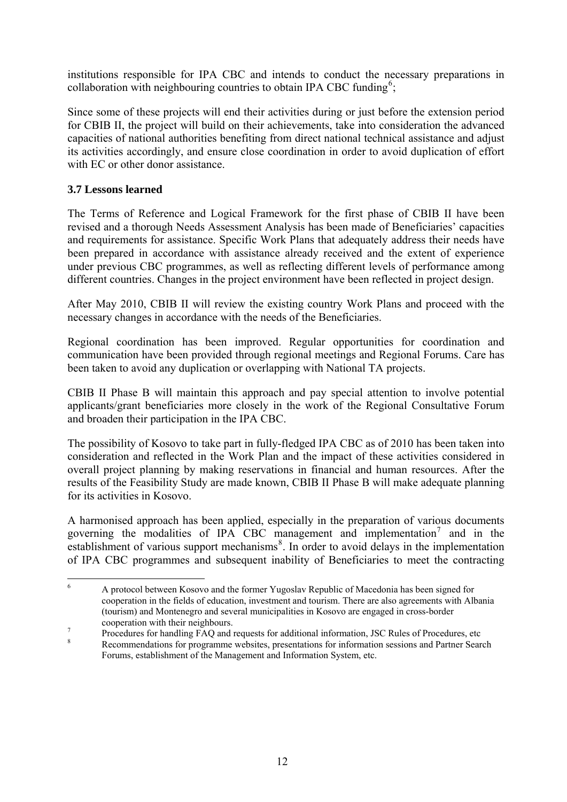<span id="page-11-0"></span>institutions responsible for IPA CBC and intends to conduct the necessary preparations in collaboration with neighbouring countries to obtain IPA CBC funding<sup>[6](#page-11-0)</sup>;

Since some of these projects will end their activities during or just before the extension period for CBIB II, the project will build on their achievements, take into consideration the advanced capacities of national authorities benefiting from direct national technical assistance and adjust its activities accordingly, and ensure close coordination in order to avoid duplication of effort with EC or other donor assistance.

## **3.7 Lessons learned**

The Terms of Reference and Logical Framework for the first phase of CBIB II have been revised and a thorough Needs Assessment Analysis has been made of Beneficiaries' capacities and requirements for assistance. Specific Work Plans that adequately address their needs have been prepared in accordance with assistance already received and the extent of experience under previous CBC programmes, as well as reflecting different levels of performance among different countries. Changes in the project environment have been reflected in project design.

After May 2010, CBIB II will review the existing country Work Plans and proceed with the necessary changes in accordance with the needs of the Beneficiaries.

Regional coordination has been improved. Regular opportunities for coordination and communication have been provided through regional meetings and Regional Forums. Care has been taken to avoid any duplication or overlapping with National TA projects.

CBIB II Phase B will maintain this approach and pay special attention to involve potential applicants/grant beneficiaries more closely in the work of the Regional Consultative Forum and broaden their participation in the IPA CBC.

The possibility of Kosovo to take part in fully-fledged IPA CBC as of 2010 has been taken into consideration and reflected in the Work Plan and the impact of these activities considered in overall project planning by making reservations in financial and human resources. After the results of the Feasibility Study are made known, CBIB II Phase B will make adequate planning for its activities in Kosovo.

A harmonised approach has been applied, especially in the preparation of various documents governing the modalities of IPA CBC management and implementation<sup>[7](#page-11-0)</sup> and in the establishment of various support mechanisms<sup>[8](#page-11-0)</sup>. In order to avoid delays in the implementation of IPA CBC programmes and subsequent inability of Beneficiaries to meet the contracting

 $\frac{1}{6}$  A protocol between Kosovo and the former Yugoslav Republic of Macedonia has been signed for cooperation in the fields of education, investment and tourism. There are also agreements with Albania (tourism) and Montenegro and several municipalities in Kosovo are engaged in cross-border cooperation with their neighbours.

Procedures for handling  $\overline{FAQ}$  and requests for additional information, JSC Rules of Procedures, etc  $\overline{8}$ 

Recommendations for programme websites, presentations for information sessions and Partner Search Forums, establishment of the Management and Information System, etc.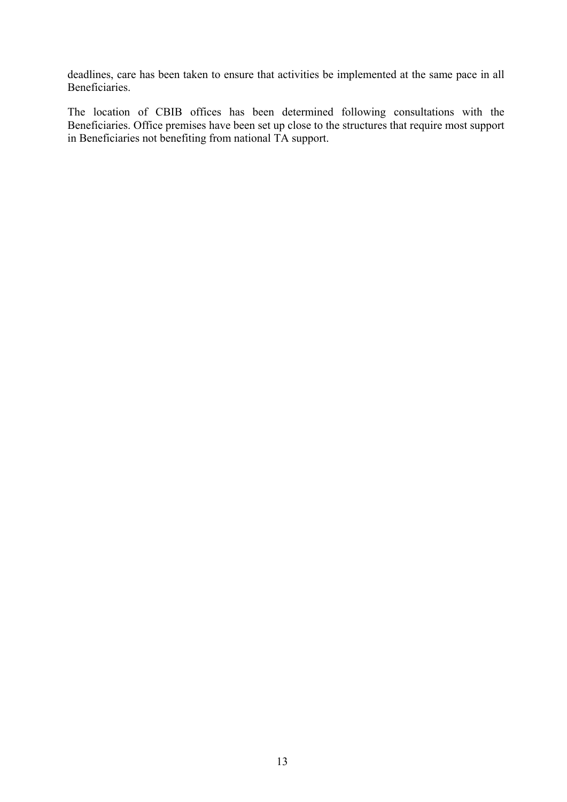deadlines, care has been taken to ensure that activities be implemented at the same pace in all Beneficiaries.

The location of CBIB offices has been determined following consultations with the Beneficiaries. Office premises have been set up close to the structures that require most support in Beneficiaries not benefiting from national TA support.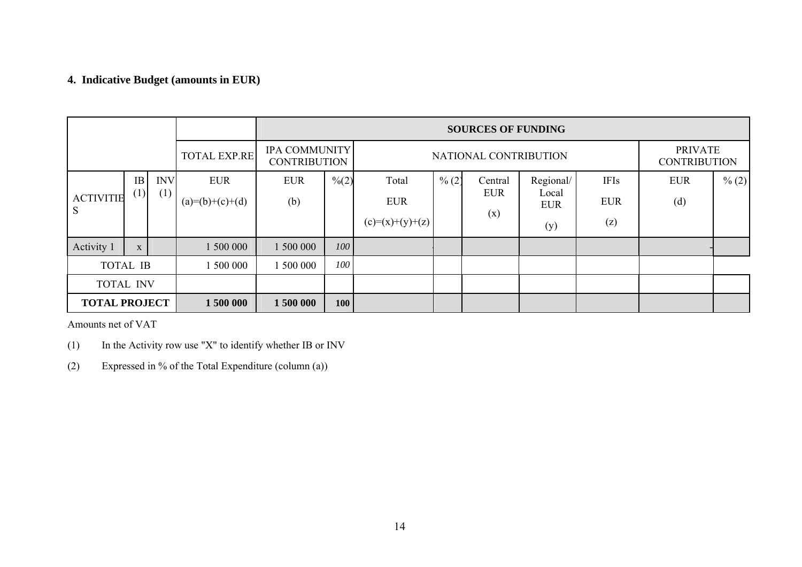# **4. Indicative Budget (amounts in EUR)**

|                      |           |            | <b>SOURCES OF FUNDING</b> |            |                                                                      |                   |          |                                       |                     |             |            |          |
|----------------------|-----------|------------|---------------------------|------------|----------------------------------------------------------------------|-------------------|----------|---------------------------------------|---------------------|-------------|------------|----------|
|                      |           |            | <b>TOTAL EXP.RE</b>       |            | <b>IPA COMMUNITY</b><br>NATIONAL CONTRIBUTION<br><b>CONTRIBUTION</b> |                   |          | <b>PRIVATE</b><br><b>CONTRIBUTION</b> |                     |             |            |          |
|                      | <b>IB</b> | <b>INV</b> | <b>EUR</b>                | <b>EUR</b> | $\frac{0}{0}(2)$                                                     | Total             | $\% (2)$ | Central                               | Regional/           | <b>IFIs</b> | <b>EUR</b> | $\% (2)$ |
| <b>ACTIVITIE</b>     | (1)       | (1)        | $(a)=(b)+(c)+(d)$         | (b)        |                                                                      | <b>EUR</b>        |          | <b>EUR</b>                            | Local<br><b>EUR</b> | <b>EUR</b>  | (d)        |          |
| S                    |           |            |                           |            |                                                                      | $(c)=(x)+(y)+(z)$ |          | (x)                                   | (y)                 | (z)         |            |          |
| Activity 1           | X         |            | 1 500 000                 | 1 500 000  | 100                                                                  |                   |          |                                       |                     |             |            |          |
| <b>TOTAL IB</b>      |           |            | 500 000                   | 500 000    | 100                                                                  |                   |          |                                       |                     |             |            |          |
| <b>TOTAL INV</b>     |           |            |                           |            |                                                                      |                   |          |                                       |                     |             |            |          |
| <b>TOTAL PROJECT</b> |           |            | 1500 000                  | 1 500 000  | 100                                                                  |                   |          |                                       |                     |             |            |          |

Amounts net of VAT

- (1) In the Activity row use "X" to identify whether IB or INV
- (2) Expressed in % of the Total Expenditure (column (a))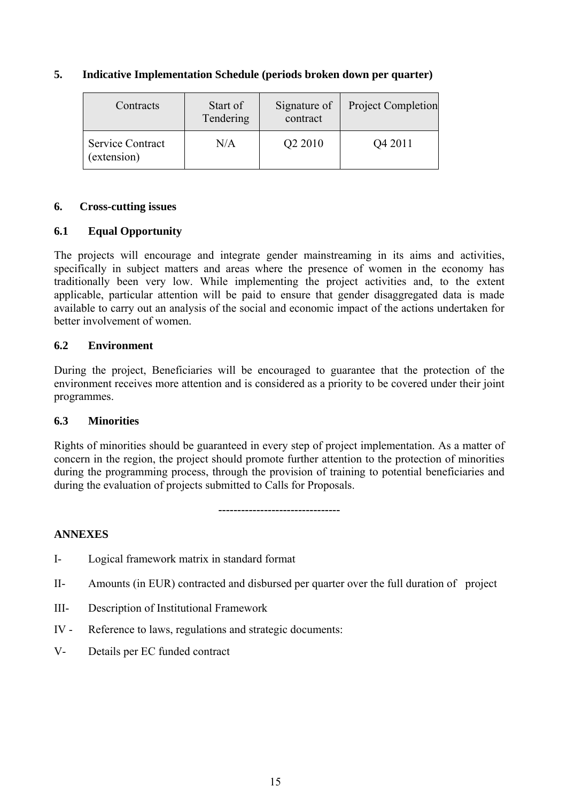#### **5. Indicative Implementation Schedule (periods broken down per quarter)**

| Start of<br>Contracts<br>Tendering |           | Signature of<br>contract | <b>Project Completion</b> |  |
|------------------------------------|-----------|--------------------------|---------------------------|--|
| Service Contract<br>(extension)    | $\rm N/A$ | Q <sub>2</sub> 2010      | Q4 2011                   |  |

#### **6. Cross-cutting issues**

## **6.1 Equal Opportunity**

The projects will encourage and integrate gender mainstreaming in its aims and activities, specifically in subject matters and areas where the presence of women in the economy has traditionally been very low. While implementing the project activities and, to the extent applicable, particular attention will be paid to ensure that gender disaggregated data is made available to carry out an analysis of the social and economic impact of the actions undertaken for better involvement of women.

## **6.2 Environment**

During the project, Beneficiaries will be encouraged to guarantee that the protection of the environment receives more attention and is considered as a priority to be covered under their joint programmes.

## **6.3 Minorities**

Rights of minorities should be guaranteed in every step of project implementation. As a matter of concern in the region, the project should promote further attention to the protection of minorities during the programming process, through the provision of training to potential beneficiaries and during the evaluation of projects submitted to Calls for Proposals.

#### **--------------------------------**

## **ANNEXES**

- I- Logical framework matrix in standard format
- II- Amounts (in EUR) contracted and disbursed per quarter over the full duration of project
- III- Description of Institutional Framework
- IV Reference to laws, regulations and strategic documents:
- V- Details per EC funded contract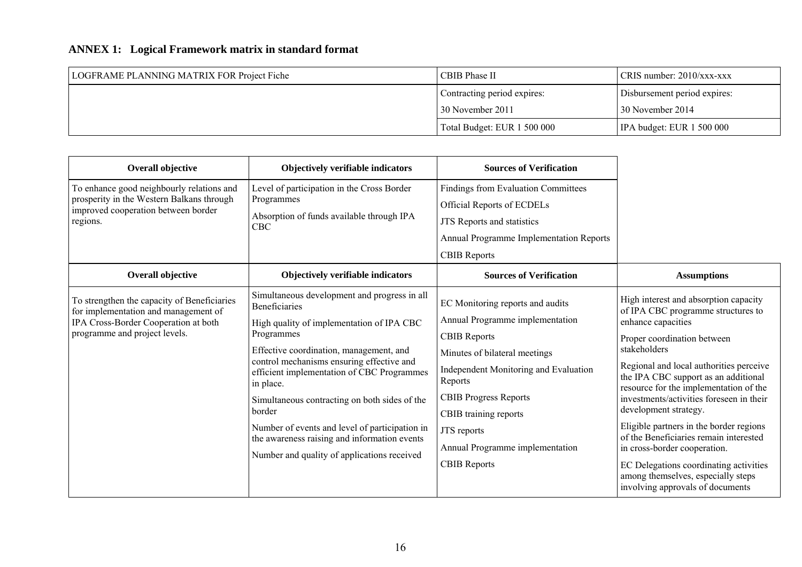# **ANNEX 1: Logical Framework matrix in standard format**

| LOGFRAME PLANNING MATRIX FOR Project Fiche | CBIB Phase II               | $CRIS$ number: 2010/xxx-xxx       |
|--------------------------------------------|-----------------------------|-----------------------------------|
|                                            | Contracting period expires: | Disbursement period expires:      |
|                                            | 30 November 2011            | 130 November 2014                 |
|                                            | Total Budget: EUR 1 500 000 | $\vert$ IPA budget: EUR 1 500 000 |

| <b>Overall objective</b>                                                            | Objectively verifiable indicators                                                                                                                                                                          | <b>Sources of Verification</b>                   |                                                                                                                           |
|-------------------------------------------------------------------------------------|------------------------------------------------------------------------------------------------------------------------------------------------------------------------------------------------------------|--------------------------------------------------|---------------------------------------------------------------------------------------------------------------------------|
| To enhance good neighbourly relations and                                           | Level of participation in the Cross Border                                                                                                                                                                 | Findings from Evaluation Committees              |                                                                                                                           |
| prosperity in the Western Balkans through<br>improved cooperation between border    | Programmes                                                                                                                                                                                                 | <b>Official Reports of ECDELs</b>                |                                                                                                                           |
| regions.                                                                            | Absorption of funds available through IPA<br><b>CBC</b>                                                                                                                                                    | JTS Reports and statistics                       |                                                                                                                           |
|                                                                                     |                                                                                                                                                                                                            | Annual Programme Implementation Reports          |                                                                                                                           |
|                                                                                     |                                                                                                                                                                                                            | <b>CBIB</b> Reports                              |                                                                                                                           |
| <b>Overall objective</b>                                                            | Objectively verifiable indicators                                                                                                                                                                          | <b>Sources of Verification</b>                   | <b>Assumptions</b>                                                                                                        |
| To strengthen the capacity of Beneficiaries<br>for implementation and management of | Simultaneous development and progress in all<br><b>Beneficiaries</b>                                                                                                                                       | EC Monitoring reports and audits                 | High interest and absorption capacity<br>of IPA CBC programme structures to                                               |
| IPA Cross-Border Cooperation at both                                                | High quality of implementation of IPA CBC<br>Programmes<br>Effective coordination, management, and<br>control mechanisms ensuring effective and<br>efficient implementation of CBC Programmes<br>in place. | Annual Programme implementation                  | enhance capacities                                                                                                        |
| programme and project levels.                                                       |                                                                                                                                                                                                            | <b>CBIB Reports</b>                              | Proper coordination between                                                                                               |
|                                                                                     |                                                                                                                                                                                                            | Minutes of bilateral meetings                    | stakeholders                                                                                                              |
|                                                                                     |                                                                                                                                                                                                            | Independent Monitoring and Evaluation<br>Reports | Regional and local authorities perceive<br>the IPA CBC support as an additional<br>resource for the implementation of the |
|                                                                                     | Simultaneous contracting on both sides of the                                                                                                                                                              | <b>CBIB Progress Reports</b>                     | investments/activities foreseen in their                                                                                  |
|                                                                                     | border                                                                                                                                                                                                     | CBIB training reports                            | development strategy.                                                                                                     |
|                                                                                     | Number of events and level of participation in<br>the awareness raising and information events                                                                                                             | JTS reports                                      | Eligible partners in the border regions<br>of the Beneficiaries remain interested                                         |
|                                                                                     | Number and quality of applications received                                                                                                                                                                | Annual Programme implementation                  | in cross-border cooperation.                                                                                              |
|                                                                                     |                                                                                                                                                                                                            | <b>CBIB Reports</b>                              | EC Delegations coordinating activities<br>among themselves, especially steps<br>involving approvals of documents          |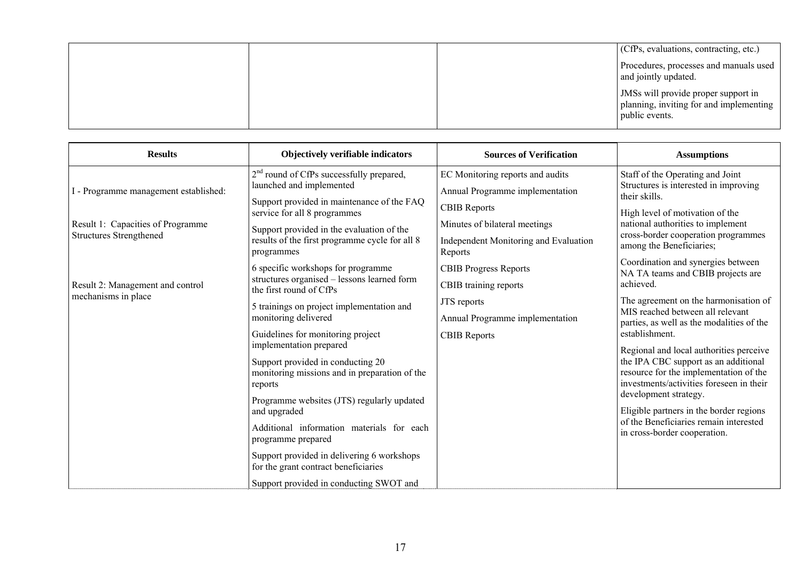|  | (CfPs, evaluations, contracting, etc.)                                                           |
|--|--------------------------------------------------------------------------------------------------|
|  | Procedures, processes and manuals used<br>and jointly updated.                                   |
|  | JMSs will provide proper support in<br>planning, inviting for and implementing<br>public events. |

| <b>Results</b>                                          | Objectively verifiable indicators                                                             | <b>Sources of Verification</b>                          | <b>Assumptions</b>                                                                                                                                                                             |  |
|---------------------------------------------------------|-----------------------------------------------------------------------------------------------|---------------------------------------------------------|------------------------------------------------------------------------------------------------------------------------------------------------------------------------------------------------|--|
|                                                         | 2 <sup>nd</sup> round of CfPs successfully prepared,                                          | EC Monitoring reports and audits                        | Staff of the Operating and Joint                                                                                                                                                               |  |
| I - Programme management established:                   | launched and implemented                                                                      | Annual Programme implementation                         | Structures is interested in improving<br>their skills.                                                                                                                                         |  |
|                                                         | Support provided in maintenance of the FAQ<br>service for all 8 programmes                    | <b>CBIB Reports</b>                                     | High level of motivation of the                                                                                                                                                                |  |
| Result 1: Capacities of Programme                       | Support provided in the evaluation of the                                                     | Minutes of bilateral meetings                           | national authorities to implement                                                                                                                                                              |  |
| <b>Structures Strengthened</b>                          | results of the first programme cycle for all 8<br>programmes                                  | <b>Independent Monitoring and Evaluation</b><br>Reports | cross-border cooperation programmes<br>among the Beneficiaries;                                                                                                                                |  |
|                                                         | 6 specific workshops for programme                                                            | <b>CBIB Progress Reports</b>                            | Coordination and synergies between<br>NA TA teams and CBIB projects are                                                                                                                        |  |
| Result 2: Management and control<br>mechanisms in place | structures organised - lessons learned form<br>the first round of CfPs                        | CBIB training reports                                   | achieved.                                                                                                                                                                                      |  |
|                                                         | 5 trainings on project implementation and                                                     | JTS reports                                             | The agreement on the harmonisation of<br>MIS reached between all relevant                                                                                                                      |  |
|                                                         | monitoring delivered                                                                          | Annual Programme implementation                         | parties, as well as the modalities of the                                                                                                                                                      |  |
|                                                         | Guidelines for monitoring project<br>implementation prepared                                  | <b>CBIB Reports</b>                                     | establishment.                                                                                                                                                                                 |  |
|                                                         | Support provided in conducting 20<br>monitoring missions and in preparation of the<br>reports |                                                         | Regional and local authorities perceive<br>the IPA CBC support as an additional<br>resource for the implementation of the<br>investments/activities foreseen in their<br>development strategy. |  |
|                                                         | Programme websites (JTS) regularly updated<br>and upgraded                                    |                                                         | Eligible partners in the border regions                                                                                                                                                        |  |
|                                                         | Additional information materials for each<br>programme prepared                               |                                                         | of the Beneficiaries remain interested<br>in cross-border cooperation.                                                                                                                         |  |
|                                                         | Support provided in delivering 6 workshops<br>for the grant contract beneficiaries            |                                                         |                                                                                                                                                                                                |  |
|                                                         | Support provided in conducting SWOT and                                                       |                                                         |                                                                                                                                                                                                |  |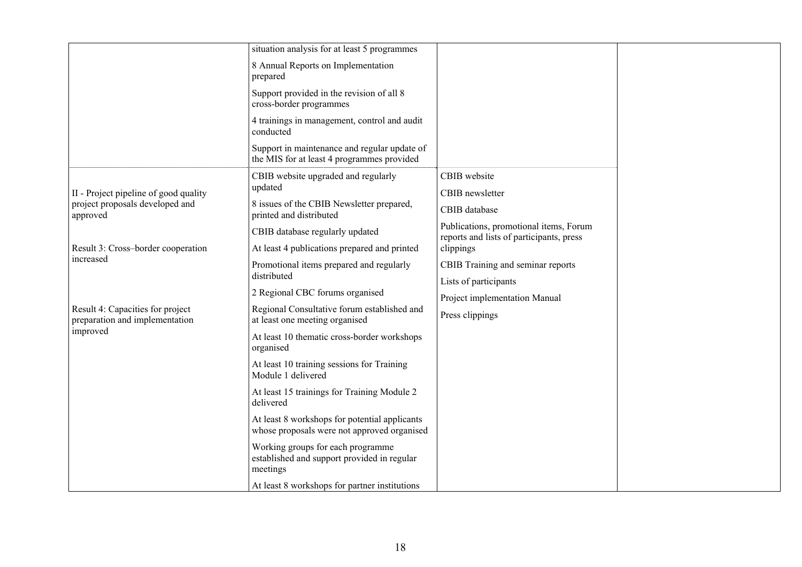|                                                                    | situation analysis for at least 5 programmes                                                 |                                                                                    |  |
|--------------------------------------------------------------------|----------------------------------------------------------------------------------------------|------------------------------------------------------------------------------------|--|
|                                                                    | 8 Annual Reports on Implementation<br>prepared                                               |                                                                                    |  |
|                                                                    | Support provided in the revision of all 8<br>cross-border programmes                         |                                                                                    |  |
|                                                                    | 4 trainings in management, control and audit<br>conducted                                    |                                                                                    |  |
|                                                                    | Support in maintenance and regular update of<br>the MIS for at least 4 programmes provided   |                                                                                    |  |
| II - Project pipeline of good quality                              | CBIB website upgraded and regularly<br>updated                                               | CBIB website<br>CBIB newsletter                                                    |  |
| project proposals developed and<br>approved                        | 8 issues of the CBIB Newsletter prepared,<br>printed and distributed                         | CBIB database                                                                      |  |
|                                                                    | CBIB database regularly updated                                                              | Publications, promotional items, Forum<br>reports and lists of participants, press |  |
| Result 3: Cross-border cooperation                                 | At least 4 publications prepared and printed                                                 | clippings                                                                          |  |
| increased                                                          | Promotional items prepared and regularly                                                     | CBIB Training and seminar reports                                                  |  |
|                                                                    | distributed                                                                                  | Lists of participants                                                              |  |
|                                                                    | 2 Regional CBC forums organised                                                              | Project implementation Manual                                                      |  |
| Result 4: Capacities for project<br>preparation and implementation | Regional Consultative forum established and<br>at least one meeting organised                | Press clippings                                                                    |  |
| improved                                                           | At least 10 thematic cross-border workshops<br>organised                                     |                                                                                    |  |
|                                                                    | At least 10 training sessions for Training<br>Module 1 delivered                             |                                                                                    |  |
|                                                                    | At least 15 trainings for Training Module 2<br>delivered                                     |                                                                                    |  |
|                                                                    | At least 8 workshops for potential applicants<br>whose proposals were not approved organised |                                                                                    |  |
|                                                                    | Working groups for each programme<br>established and support provided in regular<br>meetings |                                                                                    |  |
|                                                                    | At least 8 workshops for partner institutions                                                |                                                                                    |  |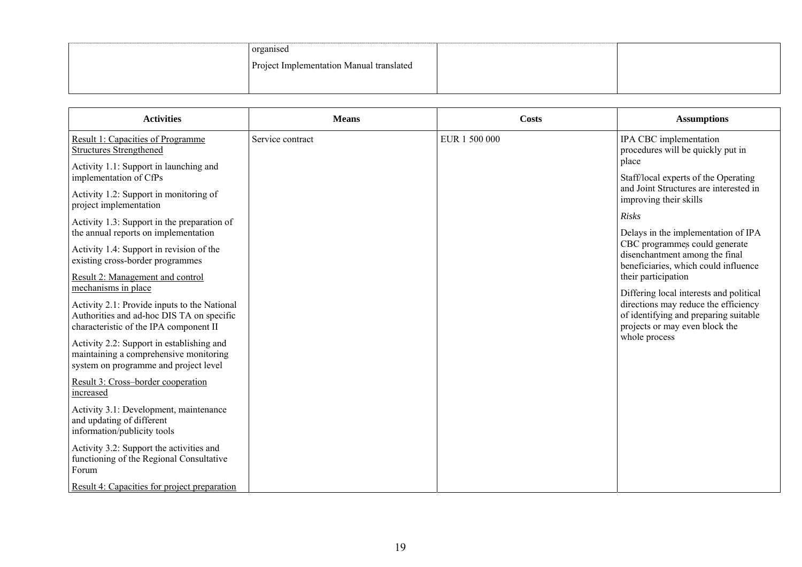| organised                                |  |
|------------------------------------------|--|
| Project Implementation Manual translated |  |
|                                          |  |

| <b>Activities</b>                                                                                                                   | <b>Means</b>     | <b>Costs</b>  | <b>Assumptions</b>                                                                                                                                         |
|-------------------------------------------------------------------------------------------------------------------------------------|------------------|---------------|------------------------------------------------------------------------------------------------------------------------------------------------------------|
| Result 1: Capacities of Programme<br><b>Structures Strengthened</b>                                                                 | Service contract | EUR 1 500 000 | IPA CBC implementation<br>procedures will be quickly put in<br>place                                                                                       |
| Activity 1.1: Support in launching and<br>implementation of CfPs                                                                    |                  |               | Staff/local experts of the Operating                                                                                                                       |
| Activity 1.2: Support in monitoring of<br>project implementation                                                                    |                  |               | and Joint Structures are interested in<br>improving their skills                                                                                           |
| Activity 1.3: Support in the preparation of                                                                                         |                  |               | <b>Risks</b>                                                                                                                                               |
| the annual reports on implementation<br>Activity 1.4: Support in revision of the<br>existing cross-border programmes                |                  |               | Delays in the implementation of IPA<br>CBC programmes could generate<br>disenchantment among the final<br>beneficiaries, which could influence             |
| Result 2: Management and control<br>mechanisms in place                                                                             |                  |               | their participation                                                                                                                                        |
| Activity 2.1: Provide inputs to the National<br>Authorities and ad-hoc DIS TA on specific<br>characteristic of the IPA component II |                  |               | Differing local interests and political<br>directions may reduce the efficiency<br>of identifying and preparing suitable<br>projects or may even block the |
| Activity 2.2: Support in establishing and<br>maintaining a comprehensive monitoring<br>system on programme and project level        |                  |               | whole process                                                                                                                                              |
| Result 3: Cross-border cooperation<br>increased                                                                                     |                  |               |                                                                                                                                                            |
| Activity 3.1: Development, maintenance<br>and updating of different<br>information/publicity tools                                  |                  |               |                                                                                                                                                            |
| Activity 3.2: Support the activities and<br>functioning of the Regional Consultative<br>Forum                                       |                  |               |                                                                                                                                                            |
| Result 4: Capacities for project preparation                                                                                        |                  |               |                                                                                                                                                            |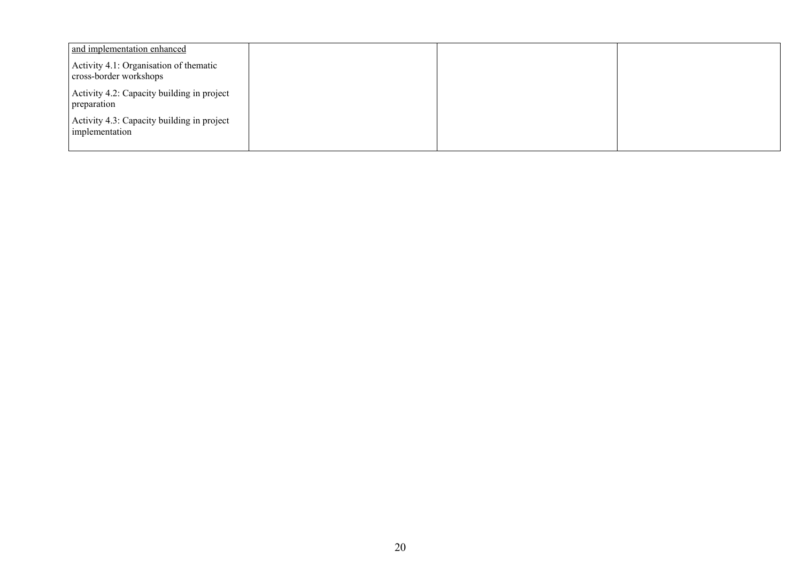| and implementation enhanced                                      |  |  |
|------------------------------------------------------------------|--|--|
| Activity 4.1: Organisation of thematic<br>cross-border workshops |  |  |
| Activity 4.2: Capacity building in project<br>preparation        |  |  |
| Activity 4.3: Capacity building in project<br>implementation     |  |  |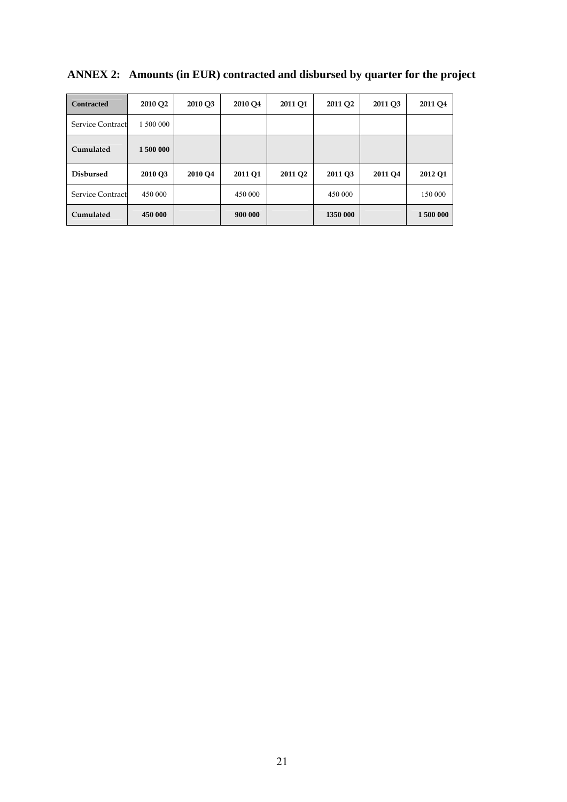| <b>Contracted</b>       | 2010 Q2   | 2010 Q3 | 2010 Q4 | 2011 Q1             | 2011 Q <sub>2</sub> | 2011 Q3 | 2011 Q4   |
|-------------------------|-----------|---------|---------|---------------------|---------------------|---------|-----------|
| Service Contract        | 1 500 000 |         |         |                     |                     |         |           |
| Cumulated               | 1500 000  |         |         |                     |                     |         |           |
| <b>Disbursed</b>        | 2010 Q3   | 2010 Q4 | 2011 Q1 | 2011 Q <sub>2</sub> | 2011 Q3             | 2011 Q4 | 2012 Q1   |
| <b>Service Contract</b> | 450 000   |         | 450 000 |                     | 450 000             |         | 150 000   |
| Cumulated               | 450 000   |         | 900 000 |                     | 1350 000            |         | 1 500 000 |

# **ANNEX 2: Amounts (in EUR) contracted and disbursed by quarter for the project**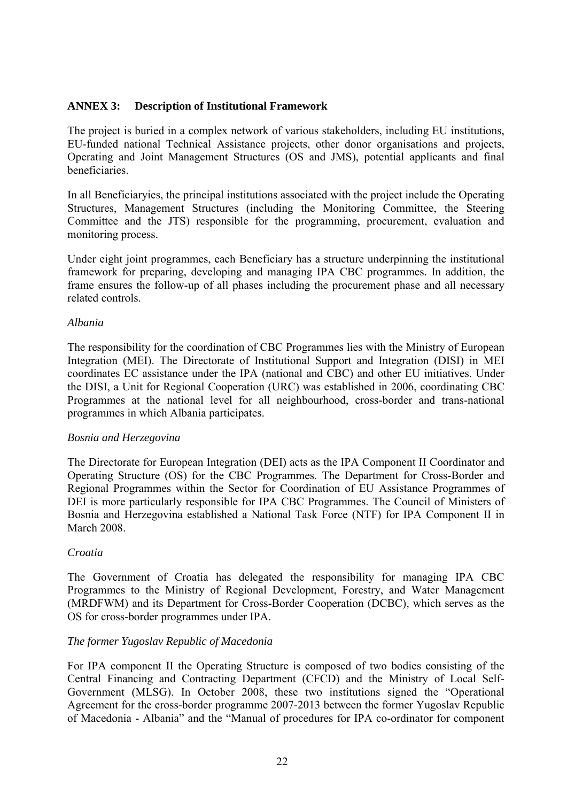#### **ANNEX 3: Description of Institutional Framework**

The project is buried in a complex network of various stakeholders, including EU institutions, EU-funded national Technical Assistance projects, other donor organisations and projects, Operating and Joint Management Structures (OS and JMS), potential applicants and final beneficiaries.

In all Beneficiaryies, the principal institutions associated with the project include the Operating Structures, Management Structures (including the Monitoring Committee, the Steering Committee and the JTS) responsible for the programming, procurement, evaluation and monitoring process.

Under eight joint programmes, each Beneficiary has a structure underpinning the institutional framework for preparing, developing and managing IPA CBC programmes. In addition, the frame ensures the follow-up of all phases including the procurement phase and all necessary related controls.

#### *Albania*

The responsibility for the coordination of CBC Programmes lies with the Ministry of European Integration (MEI). The Directorate of Institutional Support and Integration (DISI) in MEI coordinates EC assistance under the IPA (national and CBC) and other EU initiatives. Under the DISI, a Unit for Regional Cooperation (URC) was established in 2006, coordinating CBC Programmes at the national level for all neighbourhood, cross-border and trans-national programmes in which Albania participates.

#### *Bosnia and Herzegovina*

The Directorate for European Integration (DEI) acts as the IPA Component II Coordinator and Operating Structure (OS) for the CBC Programmes. The Department for Cross-Border and Regional Programmes within the Sector for Coordination of EU Assistance Programmes of DEI is more particularly responsible for IPA CBC Programmes. The Council of Ministers of Bosnia and Herzegovina established a National Task Force (NTF) for IPA Component II in March 2008.

#### *Croatia*

The Government of Croatia has delegated the responsibility for managing IPA CBC Programmes to the Ministry of Regional Development, Forestry, and Water Management (MRDFWM) and its Department for Cross-Border Cooperation (DCBC), which serves as the OS for cross-border programmes under IPA.

#### *The former Yugoslav Republic of Macedonia*

For IPA component II the Operating Structure is composed of two bodies consisting of the Central Financing and Contracting Department (CFCD) and the Ministry of Local Self-Government (MLSG). In October 2008, these two institutions signed the "Operational Agreement for the cross-border programme 2007-2013 between the former Yugoslav Republic of Macedonia - Albania" and the "Manual of procedures for IPA co-ordinator for component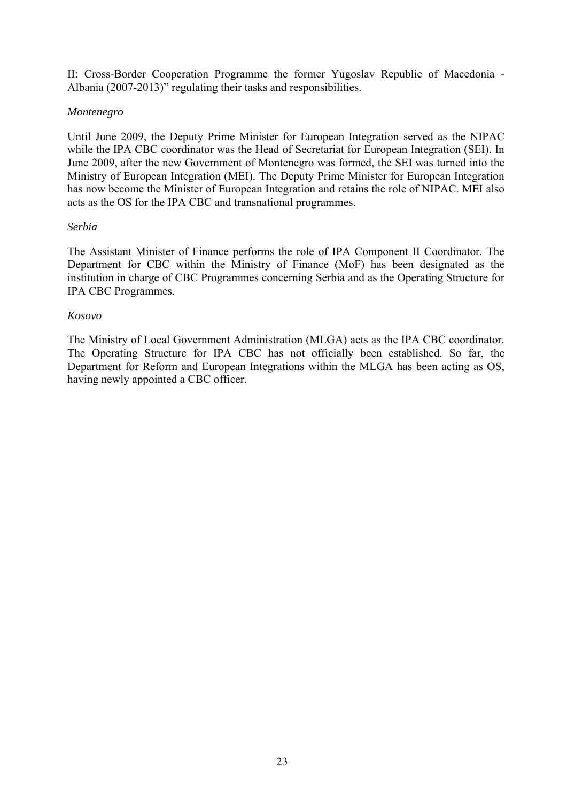II: Cross-Border Cooperation Programme the former Yugoslav Republic of Macedonia - Albania (2007-2013)" regulating their tasks and responsibilities.

#### *Montenegro*

Until June 2009, the Deputy Prime Minister for European Integration served as the NIPAC while the IPA CBC coordinator was the Head of Secretariat for European Integration (SEI). In June 2009, after the new Government of Montenegro was formed, the SEI was turned into the Ministry of European Integration (MEI). The Deputy Prime Minister for European Integration has now become the Minister of European Integration and retains the role of NIPAC. MEI also acts as the OS for the IPA CBC and transnational programmes.

#### *Serbia*

The Assistant Minister of Finance performs the role of IPA Component II Coordinator. The Department for CBC within the Ministry of Finance (MoF) has been designated as the institution in charge of CBC Programmes concerning Serbia and as the Operating Structure for IPA CBC Programmes.

#### *Kosovo*

The Ministry of Local Government Administration (MLGA) acts as the IPA CBC coordinator. The Operating Structure for IPA CBC has not officially been established. So far, the Department for Reform and European Integrations within the MLGA has been acting as OS, having newly appointed a CBC officer.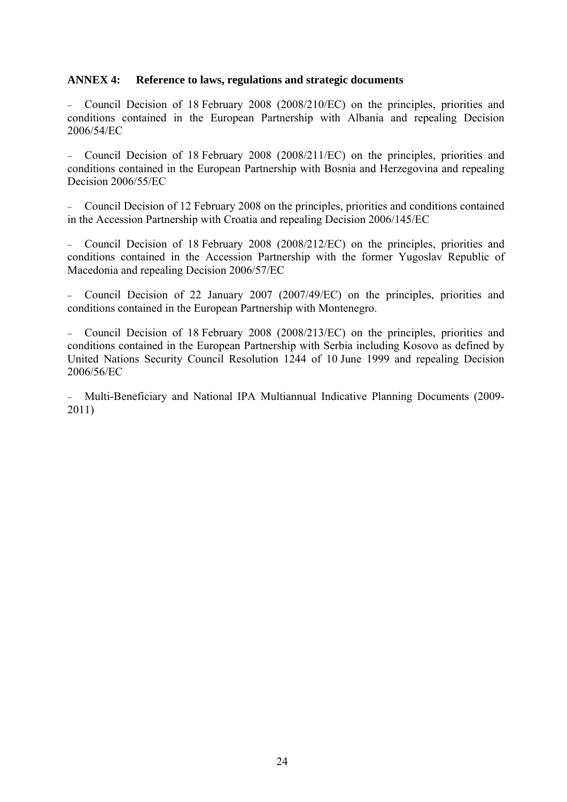#### **ANNEX 4: Reference to laws, regulations and strategic documents**

− Council Decision of 18 February 2008 (2008/210/EC) on the principles, priorities and conditions contained in the European Partnership with Albania and repealing Decision 2006/54/EC

− Council Decision of 18 February 2008 (2008/211/EC) on the principles, priorities and conditions contained in the European Partnership with Bosnia and Herzegovina and repealing Decision 2006/55/EC

− Council Decision of 12 February 2008 on the principles, priorities and conditions contained in the Accession Partnership with Croatia and repealing Decision 2006/145/EC

− Council Decision of 18 February 2008 (2008/212/EC) on the principles, priorities and conditions contained in the Accession Partnership with the former Yugoslav Republic of Macedonia and repealing Decision 2006/57/EC

− Council Decision of 22 January 2007 (2007/49/EC) on the principles, priorities and conditions contained in the European Partnership with Montenegro.

− Council Decision of 18 February 2008 (2008/213/EC) on the principles, priorities and conditions contained in the European Partnership with Serbia including Kosovo as defined by United Nations Security Council Resolution 1244 of 10 June 1999 and repealing Decision 2006/56/EC

− Multi-Beneficiary and National IPA Multiannual Indicative Planning Documents (2009- 2011)